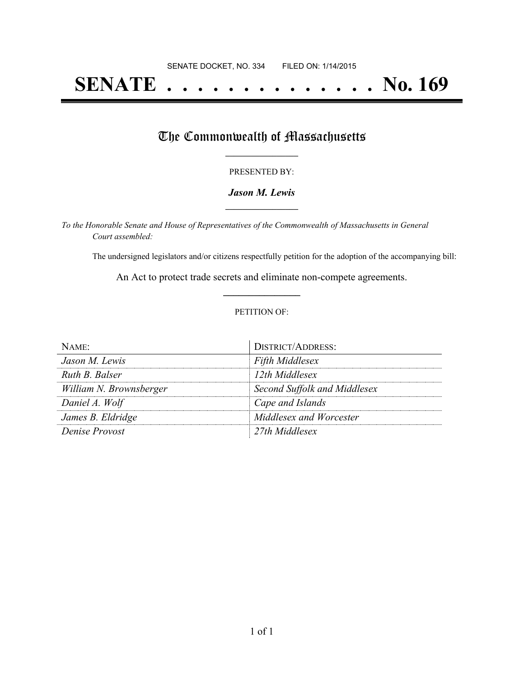# **SENATE . . . . . . . . . . . . . . No. 169**

## The Commonwealth of Massachusetts

#### PRESENTED BY:

#### *Jason M. Lewis* **\_\_\_\_\_\_\_\_\_\_\_\_\_\_\_\_\_**

*To the Honorable Senate and House of Representatives of the Commonwealth of Massachusetts in General Court assembled:*

The undersigned legislators and/or citizens respectfully petition for the adoption of the accompanying bill:

An Act to protect trade secrets and eliminate non-compete agreements. **\_\_\_\_\_\_\_\_\_\_\_\_\_\_\_**

#### PETITION OF:

| Name:                   | <b>DISTRICT/ADDRESS:</b>     |
|-------------------------|------------------------------|
| Jason M. Lewis          | <b>Fifth Middlesex</b>       |
| Ruth B. Balser          | 12th Middlesex               |
| William N. Brownsberger | Second Suffolk and Middlesex |
| Daniel A. Wolf          | Cape and Islands             |
| James B. Eldridge       | Middlesex and Worcester      |
| Denise Provost          | 27th Middlesex               |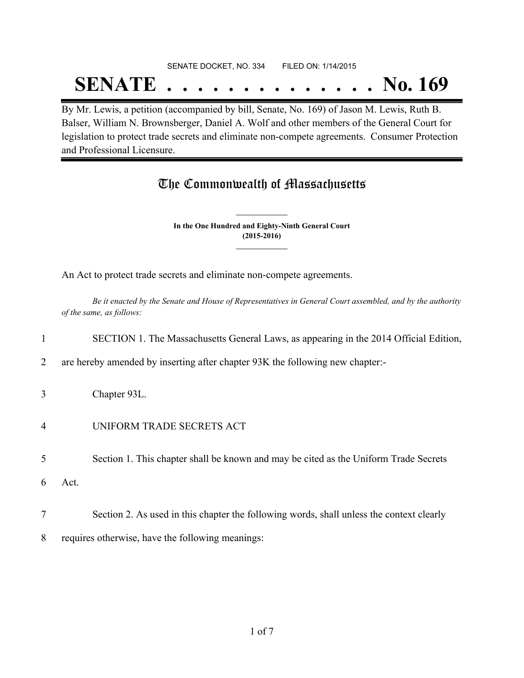## SENATE DOCKET, NO. 334 FILED ON: 1/14/2015 **SENATE . . . . . . . . . . . . . . No. 169**

By Mr. Lewis, a petition (accompanied by bill, Senate, No. 169) of Jason M. Lewis, Ruth B. Balser, William N. Brownsberger, Daniel A. Wolf and other members of the General Court for legislation to protect trade secrets and eliminate non-compete agreements. Consumer Protection and Professional Licensure.

## The Commonwealth of Massachusetts

**In the One Hundred and Eighty-Ninth General Court (2015-2016) \_\_\_\_\_\_\_\_\_\_\_\_\_\_\_**

**\_\_\_\_\_\_\_\_\_\_\_\_\_\_\_**

An Act to protect trade secrets and eliminate non-compete agreements.

Be it enacted by the Senate and House of Representatives in General Court assembled, and by the authority *of the same, as follows:*

### 1 SECTION 1. The Massachusetts General Laws, as appearing in the 2014 Official Edition,

- 2 are hereby amended by inserting after chapter 93K the following new chapter:-
- 3 Chapter 93L.
- 4 UNIFORM TRADE SECRETS ACT

5 Section 1. This chapter shall be known and may be cited as the Uniform Trade Secrets

- 6 Act.
- 7 Section 2. As used in this chapter the following words, shall unless the context clearly
- 8 requires otherwise, have the following meanings: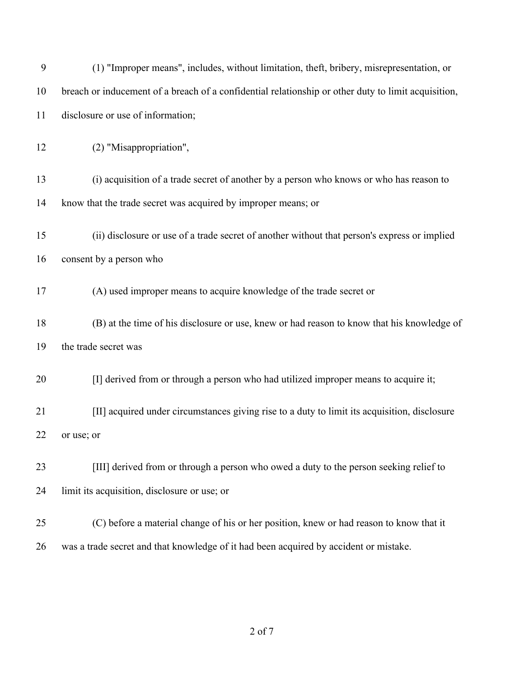| 9  | (1) "Improper means", includes, without limitation, theft, bribery, misrepresentation, or           |
|----|-----------------------------------------------------------------------------------------------------|
| 10 | breach or inducement of a breach of a confidential relationship or other duty to limit acquisition, |
| 11 | disclosure or use of information;                                                                   |
| 12 | (2) "Misappropriation",                                                                             |
| 13 | (i) acquisition of a trade secret of another by a person who knows or who has reason to             |
| 14 | know that the trade secret was acquired by improper means; or                                       |
| 15 | (ii) disclosure or use of a trade secret of another without that person's express or implied        |
| 16 | consent by a person who                                                                             |
| 17 | (A) used improper means to acquire knowledge of the trade secret or                                 |
| 18 | (B) at the time of his disclosure or use, knew or had reason to know that his knowledge of          |
| 19 | the trade secret was                                                                                |
| 20 | [I] derived from or through a person who had utilized improper means to acquire it;                 |
| 21 | [II] acquired under circumstances giving rise to a duty to limit its acquisition, disclosure        |
| 22 | or use; or                                                                                          |
| 23 | [III] derived from or through a person who owed a duty to the person seeking relief to              |
| 24 | limit its acquisition, disclosure or use; or                                                        |
| 25 | (C) before a material change of his or her position, knew or had reason to know that it             |
| 26 | was a trade secret and that knowledge of it had been acquired by accident or mistake.               |

of 7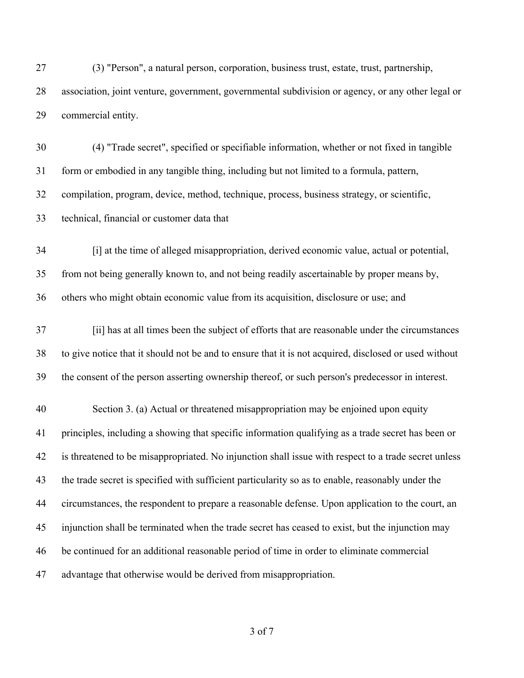(3) "Person", a natural person, corporation, business trust, estate, trust, partnership, association, joint venture, government, governmental subdivision or agency, or any other legal or commercial entity.

 (4) "Trade secret", specified or specifiable information, whether or not fixed in tangible form or embodied in any tangible thing, including but not limited to a formula, pattern, compilation, program, device, method, technique, process, business strategy, or scientific,

technical, financial or customer data that

 [i] at the time of alleged misappropriation, derived economic value, actual or potential, from not being generally known to, and not being readily ascertainable by proper means by, others who might obtain economic value from its acquisition, disclosure or use; and

 [ii] has at all times been the subject of efforts that are reasonable under the circumstances to give notice that it should not be and to ensure that it is not acquired, disclosed or used without the consent of the person asserting ownership thereof, or such person's predecessor in interest.

 Section 3. (a) Actual or threatened misappropriation may be enjoined upon equity principles, including a showing that specific information qualifying as a trade secret has been or is threatened to be misappropriated. No injunction shall issue with respect to a trade secret unless the trade secret is specified with sufficient particularity so as to enable, reasonably under the circumstances, the respondent to prepare a reasonable defense. Upon application to the court, an injunction shall be terminated when the trade secret has ceased to exist, but the injunction may be continued for an additional reasonable period of time in order to eliminate commercial advantage that otherwise would be derived from misappropriation.

of 7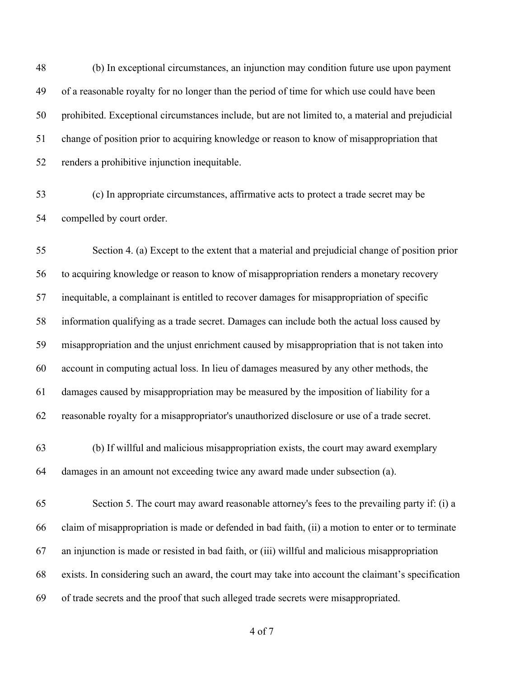(b) In exceptional circumstances, an injunction may condition future use upon payment of a reasonable royalty for no longer than the period of time for which use could have been prohibited. Exceptional circumstances include, but are not limited to, a material and prejudicial change of position prior to acquiring knowledge or reason to know of misappropriation that renders a prohibitive injunction inequitable.

 (c) In appropriate circumstances, affirmative acts to protect a trade secret may be compelled by court order.

 Section 4. (a) Except to the extent that a material and prejudicial change of position prior to acquiring knowledge or reason to know of misappropriation renders a monetary recovery inequitable, a complainant is entitled to recover damages for misappropriation of specific information qualifying as a trade secret. Damages can include both the actual loss caused by misappropriation and the unjust enrichment caused by misappropriation that is not taken into account in computing actual loss. In lieu of damages measured by any other methods, the damages caused by misappropriation may be measured by the imposition of liability for a reasonable royalty for a misappropriator's unauthorized disclosure or use of a trade secret.

- (b) If willful and malicious misappropriation exists, the court may award exemplary damages in an amount not exceeding twice any award made under subsection (a).
- Section 5. The court may award reasonable attorney's fees to the prevailing party if: (i) a claim of misappropriation is made or defended in bad faith, (ii) a motion to enter or to terminate an injunction is made or resisted in bad faith, or (iii) willful and malicious misappropriation exists. In considering such an award, the court may take into account the claimant's specification of trade secrets and the proof that such alleged trade secrets were misappropriated.
	- of 7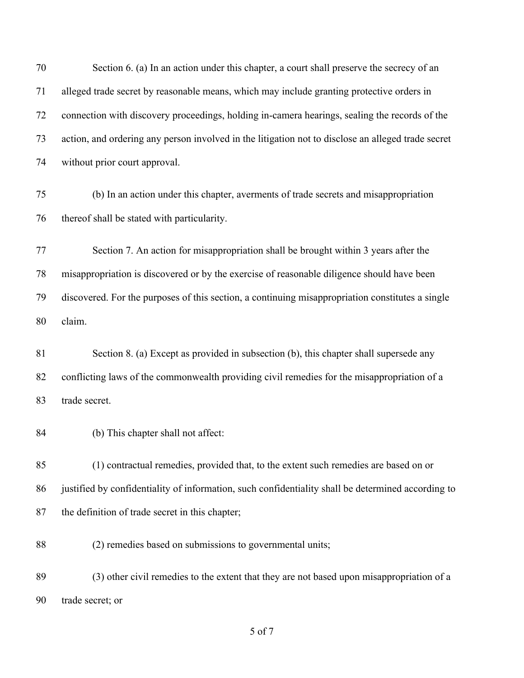| 70 | Section 6. (a) In an action under this chapter, a court shall preserve the secrecy of an           |
|----|----------------------------------------------------------------------------------------------------|
| 71 | alleged trade secret by reasonable means, which may include granting protective orders in          |
| 72 | connection with discovery proceedings, holding in-camera hearings, sealing the records of the      |
| 73 | action, and ordering any person involved in the litigation not to disclose an alleged trade secret |
| 74 | without prior court approval.                                                                      |
| 75 | (b) In an action under this chapter, averments of trade secrets and misappropriation               |
| 76 | thereof shall be stated with particularity.                                                        |
| 77 | Section 7. An action for misappropriation shall be brought within 3 years after the                |
| 78 | misappropriation is discovered or by the exercise of reasonable diligence should have been         |
| 79 | discovered. For the purposes of this section, a continuing misappropriation constitutes a single   |
| 80 | claim.                                                                                             |
| 81 | Section 8. (a) Except as provided in subsection (b), this chapter shall supersede any              |
| 82 | conflicting laws of the commonwealth providing civil remedies for the misappropriation of a        |
| 83 | trade secret.                                                                                      |
| 84 | (b) This chapter shall not affect:                                                                 |
| 85 | (1) contractual remedies, provided that, to the extent such remedies are based on or               |
| 86 | justified by confidentiality of information, such confidentiality shall be determined according to |
| 87 | the definition of trade secret in this chapter;                                                    |
| 88 | (2) remedies based on submissions to governmental units;                                           |
| 89 | (3) other civil remedies to the extent that they are not based upon misappropriation of a          |
| 90 | trade secret; or                                                                                   |

of 7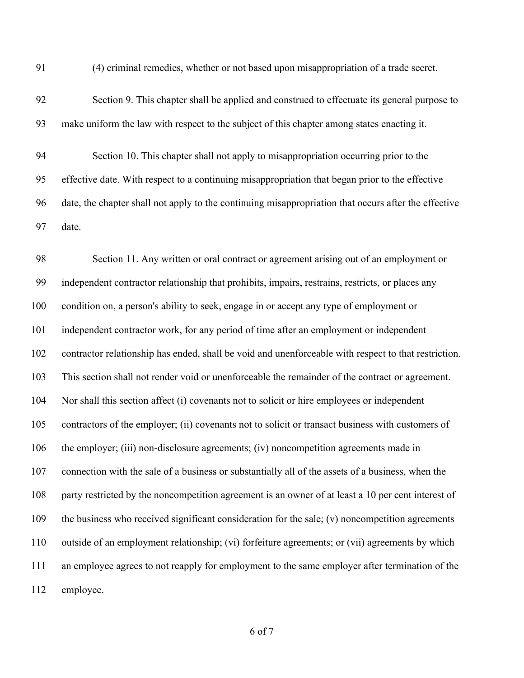(4) criminal remedies, whether or not based upon misappropriation of a trade secret.

 Section 9. This chapter shall be applied and construed to effectuate its general purpose to make uniform the law with respect to the subject of this chapter among states enacting it.

 Section 10. This chapter shall not apply to misappropriation occurring prior to the effective date. With respect to a continuing misappropriation that began prior to the effective date, the chapter shall not apply to the continuing misappropriation that occurs after the effective date.

 Section 11. Any written or oral contract or agreement arising out of an employment or independent contractor relationship that prohibits, impairs, restrains, restricts, or places any condition on, a person's ability to seek, engage in or accept any type of employment or independent contractor work, for any period of time after an employment or independent contractor relationship has ended, shall be void and unenforceable with respect to that restriction. This section shall not render void or unenforceable the remainder of the contract or agreement. Nor shall this section affect (i) covenants not to solicit or hire employees or independent contractors of the employer; (ii) covenants not to solicit or transact business with customers of the employer; (iii) non-disclosure agreements; (iv) noncompetition agreements made in connection with the sale of a business or substantially all of the assets of a business, when the party restricted by the noncompetition agreement is an owner of at least a 10 per cent interest of the business who received significant consideration for the sale; (v) noncompetition agreements outside of an employment relationship; (vi) forfeiture agreements; or (vii) agreements by which an employee agrees to not reapply for employment to the same employer after termination of the employee.